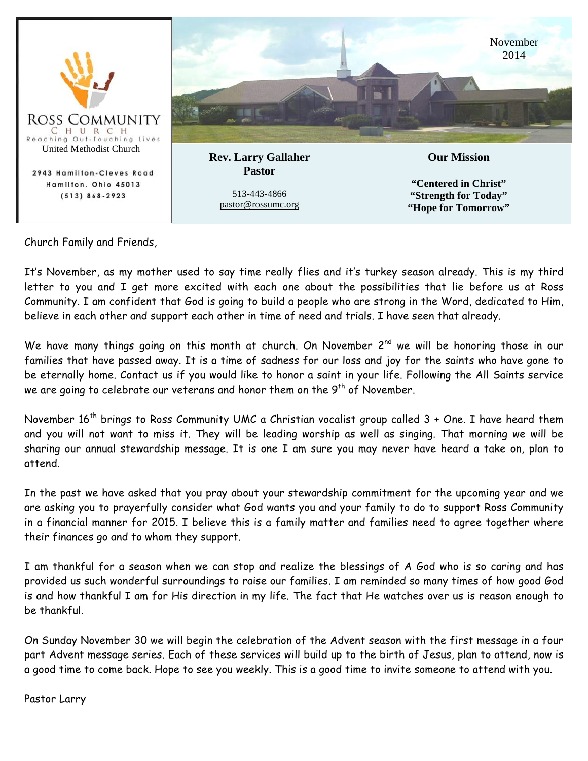

Church Family and Friends,

It's November, as my mother used to say time really flies and it's turkey season already. This is my third letter to you and I get more excited with each one about the possibilities that lie before us at Ross Community. I am confident that God is going to build a people who are strong in the Word, dedicated to Him, believe in each other and support each other in time of need and trials. I have seen that already.

We have many things going on this month at church. On November 2<sup>nd</sup> we will be honoring those in our families that have passed away. It is a time of sadness for our loss and joy for the saints who have gone to be eternally home. Contact us if you would like to honor a saint in your life. Following the All Saints service we are going to celebrate our veterans and honor them on the 9<sup>th</sup> of November.

November  $16<sup>th</sup>$  brings to Ross Community UMC a Christian vocalist group called  $3 +$  One. I have heard them and you will not want to miss it. They will be leading worship as well as singing. That morning we will be sharing our annual stewardship message. It is one I am sure you may never have heard a take on, plan to attend.

In the past we have asked that you pray about your stewardship commitment for the upcoming year and we are asking you to prayerfully consider what God wants you and your family to do to support Ross Community in a financial manner for 2015. I believe this is a family matter and families need to agree together where their finances go and to whom they support.

I am thankful for a season when we can stop and realize the blessings of A God who is so caring and has provided us such wonderful surroundings to raise our families. I am reminded so many times of how good God is and how thankful I am for His direction in my life. The fact that He watches over us is reason enough to be thankful.

On Sunday November 30 we will begin the celebration of the Advent season with the first message in a four part Advent message series. Each of these services will build up to the birth of Jesus, plan to attend, now is a good time to come back. Hope to see you weekly. This is a good time to invite someone to attend with you.

Pastor Larry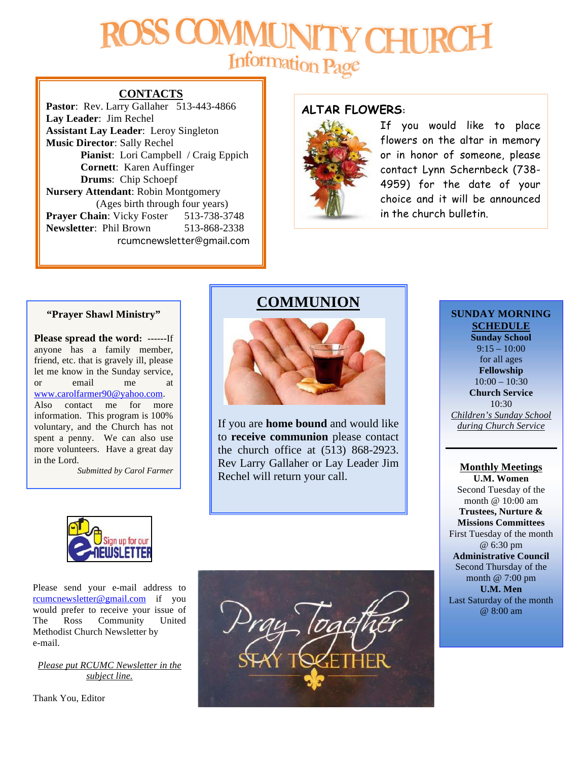## **CHI** Information Page

#### **CONTACTS**

Pastor: Rev. Larry Gallaher 513-443-4866 **Lay Leader**: Jim Rechel **Assistant Lay Leader**: Leroy Singleton **Music Director**: Sally Rechel **Pianist**: Lori Campbell / Craig Eppich **Cornett**: Karen Auffinger **Drums**: Chip Schoepf **Nursery Attendant**: Robin Montgomery (Ages birth through four years) **Prayer Chain:** Vicky Foster 513-738-3748 **Newsletter**: Phil Brown 513-868-2338 rcumcnewsletter@gmail.com

#### **ALTAR FLOWERS:**



If you would like to place flowers on the altar in memory or in honor of someone, please contact Lynn Schernbeck (738- 4959) for the date of your choice and it will be announced in the church bulletin.

#### **"Prayer Shawl Ministry"**

**Please spread the word: ------**If anyone has a family member, friend, etc. that is gravely ill, please let me know in the Sunday service, or email me at www.carolfarmer90@yahoo.com. Also contact me for more information. This program is 100% voluntary, and the Church has not spent a penny. We can also use more volunteers. Have a great day in the Lord.

*Submitted by Carol Farmer*

#### **COMMUNION**



If you are **home bound** and would like to **receive communion** please contact the church office at (513) 868-2923. Rev Larry Gallaher or Lay Leader Jim Rechel will return your call.

#### **SUNDAY MORNING SCHEDULE**

**Sunday School**  $9:15 - 10:00$ for all ages **Fellowship**  $10:00 - 10:30$ **Church Service**  $10.30$ *Children's Sunday School during Church Service*

#### **Monthly Meetings U.M. Women**

Second Tuesday of the month @ 10:00 am **Trustees, Nurture & Missions Committees** First Tuesday of the month @ 6:30 pm **Administrative Council** Second Thursday of the month @ 7:00 pm **U.M. Men** Last Saturday of the month @ 8:00 am



Please send your e-mail address to rcumcnewsletter@gmail.com if you would prefer to receive your issue of The Ross Community United Methodist Church Newsletter by e-mail.

*Please put RCUMC Newsletter in the subject line.*

Thank You, Editor

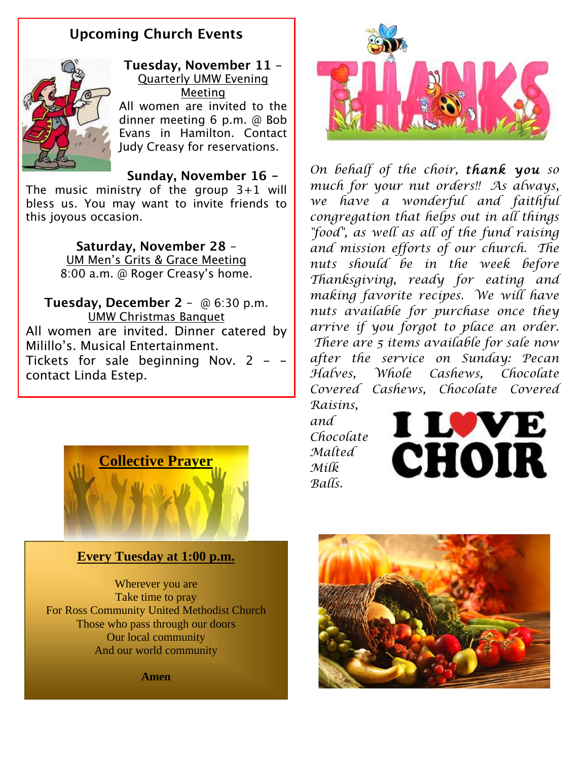### **Upcoming Church Events**



**Tuesday, November 11** - Quarterly UMW Evening Meeting All women are invited to the

dinner meeting 6 p.m. @ Bob Evans in Hamilton. Contact Judy Creasy for reservations.

**Sunday, November 16 -**

The music ministry of the group 3+1 will bless us. You may want to invite friends to this joyous occasion.

> **Saturday, November 28** – UM Men's Grits & Grace Meeting 8:00 a.m. @ Roger Creasy's home.

**Tuesday, December 2** – @ 6:30 p.m. UMW Christmas Banquet All women are invited. Dinner catered by Milillo's. Musical Entertainment. Tickets for sale beginning Nov. 2 - contact Linda Estep.



*On behalf of the choir, thank you so much for your nut orders!! As always, we have a wonderful and faithful congregation that helps out in all things "food", as well as all of the fund raising and mission efforts of our church. The nuts should be in the week before Thanksgiving, ready for eating and making favorite recipes. We will have nuts available for purchase once they arrive if you forgot to place an order. There are 5 items available for sale now after the service on Sunday: Pecan Halves, Whole Cashews, Chocolate Covered Cashews, Chocolate Covered Raisins,* 

*and Chocolate Malted Milk Balls.*





#### **Every Tuesday at 1:00 p.m.**

Wherever you are Take time to pray For Ross Community United Methodist Church Those who pass through our doors Our local community And our world community

**Amen**

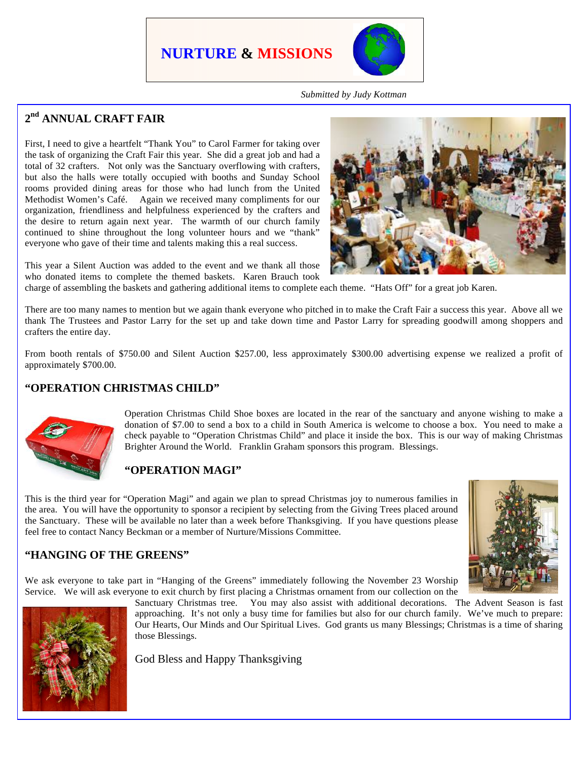## **NURTURE & MISSIONS**



*Submitted by Judy Kottman*

#### **2nd ANNUAL CRAFT FAIR**

First, I need to give a heartfelt "Thank You" to Carol Farmer for taking over the task of organizing the Craft Fair this year. She did a great job and had a total of 32 crafters. Not only was the Sanctuary overflowing with crafters, but also the halls were totally occupied with booths and Sunday School rooms provided dining areas for those who had lunch from the United Methodist Women's Café. Again we received many compliments for our organization, friendliness and helpfulness experienced by the crafters and the desire to return again next year. The warmth of our church family continued to shine throughout the long volunteer hours and we "thank" everyone who gave of their time and talents making this a real success.

This year a Silent Auction was added to the event and we thank all those who donated items to complete the themed baskets. Karen Brauch took

charge of assembling the baskets and gathering additional items to complete each theme. "Hats Off" for a great job Karen.

There are too many names to mention but we again thank everyone who pitched in to make the Craft Fair a success this year. Above all we thank The Trustees and Pastor Larry for the set up and take down time and Pastor Larry for spreading goodwill among shoppers and crafters the entire day.

From booth rentals of \$750.00 and Silent Auction \$257.00, less approximately \$300.00 advertising expense we realized a profit of approximately \$700.00.

#### **"OPERATION CHRISTMAS CHILD"**



Operation Christmas Child Shoe boxes are located in the rear of the sanctuary and anyone wishing to make a donation of \$7.00 to send a box to a child in South America is welcome to choose a box. You need to make a check payable to "Operation Christmas Child" and place it inside the box. This is our way of making Christmas Brighter Around the World. Franklin Graham sponsors this program. Blessings.

#### **"OPERATION MAGI"**

This is the third year for "Operation Magi" and again we plan to spread Christmas joy to numerous families in the area. You will have the opportunity to sponsor a recipient by selecting from the Giving Trees placed around the Sanctuary. These will be available no later than a week before Thanksgiving. If you have questions please feel free to contact Nancy Beckman or a member of Nurture/Missions Committee.



#### **"HANGING OF THE GREENS"**

We ask everyone to take part in "Hanging of the Greens" immediately following the November 23 Worship Service. We will ask everyone to exit church by first placing a Christmas ornament from our collection on the



Sanctuary Christmas tree. You may also assist with additional decorations. The Advent Season is fast approaching. It's not only a busy time for families but also for our church family. We've much to prepare: Our Hearts, Our Minds and Our Spiritual Lives. God grants us many Blessings; Christmas is a time of sharing those Blessings.

God Bless and Happy Thanksgiving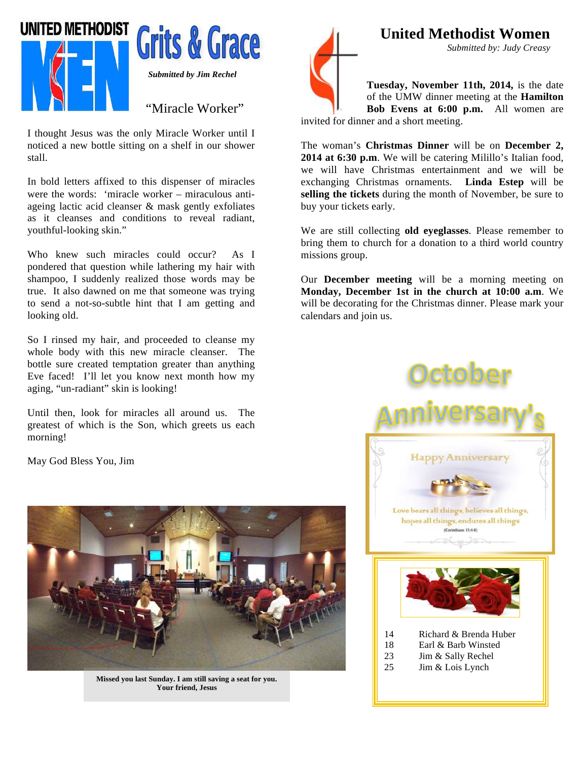

I thought Jesus was the only Miracle Worker until I noticed a new bottle sitting on a shelf in our shower stall.

In bold letters affixed to this dispenser of miracles were the words: 'miracle worker – miraculous antiageing lactic acid cleanser & mask gently exfoliates as it cleanses and conditions to reveal radiant, youthful-looking skin."

Who knew such miracles could occur? As I pondered that question while lathering my hair with shampoo, I suddenly realized those words may be true. It also dawned on me that someone was trying to send a not-so-subtle hint that I am getting and looking old.

So I rinsed my hair, and proceeded to cleanse my whole body with this new miracle cleanser. The bottle sure created temptation greater than anything Eve faced! I'll let you know next month how my aging, "un-radiant" skin is looking!

Until then, look for miracles all around us. The greatest of which is the Son, which greets us each morning!

May God Bless You, Jim



**Missed you last Sunday. I am still saving a seat for you. Your friend, Jesus**



**United Methodist Women**

*Submitted by: Judy Creasy*

**Tuesday, November 11th, 2014,** is the date of the UMW dinner meeting at the **Hamilton Bob Evens at 6:00 p.m.** All women are

invited for dinner and a short meeting.

The woman's **Christmas Dinner** will be on **December 2, 2014 at 6:30 p.m**. We will be catering Milillo's Italian food, we will have Christmas entertainment and we will be exchanging Christmas ornaments. **Linda Estep** will be **selling the tickets** during the month of November, be sure to buy your tickets early.

We are still collecting **old eyeglasses**. Please remember to bring them to church for a donation to a third world country missions group.

Our **December meeting** will be a morning meeting on **Monday, December 1st in the church at 10:00 a.m**. We will be decorating for the Christmas dinner. Please mark your calendars and join us.

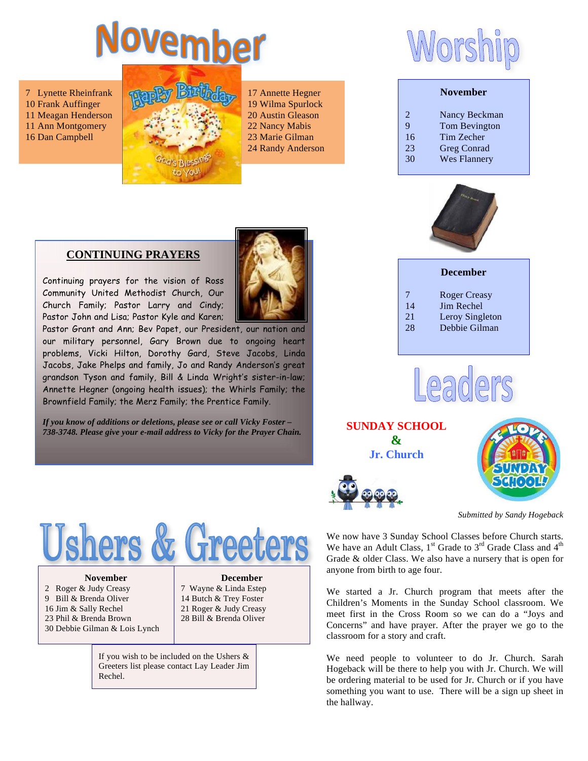# Vovember

7 Lynette Rheinfrank 10 Frank Auffinger 11 Meagan Henderson 11 Ann Montgomery 16 Dan Campbell



17 Annette Hegner 19 Wilma Spurlock 20 Austin Gleason 22 Nancy Mabis 23 Marie Gilman 24 Randy Anderson

#### **CONTINUING PRAYERS**

Continuing prayers for the vision of Ross Community United Methodist Church, Our Church Family; Pastor Larry and Cindy; Pastor John and Lisa; Pastor Kyle and Karen;

Pastor Grant and Ann; Bev Papet, our President, our nation and our military personnel, Gary Brown due to ongoing heart problems, Vicki Hilton, Dorothy Gard, Steve Jacobs, Linda Jacobs, Jake Phelps and family, Jo and Randy Anderson's great grandson Tyson and family, Bill & Linda Wright's sister-in-law; Annette Hegner (ongoing health issues); the Whirls Family; the Brownfield Family; the Merz Family; the Prentice Family.

*If you know of additions or deletions, please see or call Vicky Foster – 738-3748. Please give your e-mail address to Vicky for the Prayer Chain.*



#### **November**

| 2  | Nancy Beckman        |
|----|----------------------|
| 9  | <b>Tom Bevington</b> |
| 16 | Tim Zecher           |
| 23 | <b>Greg Conrad</b>   |
| 30 | <b>Wes Flannery</b>  |
|    |                      |



#### **December**

- 7 Roger Creasy
- 14 Jim Rechel
- 21 Leroy Singleton
- 28 Debbie Gilman



**SUNDAY SCHOOL & Jr. Church**



*Submitted by Sandy Hogeback* 

We now have 3 Sunday School Classes before Church starts. We have an Adult Class,  $1<sup>st</sup>$  Grade to  $3<sup>rd</sup>$  Grade Class and  $4<sup>th</sup>$ Grade & older Class. We also have a nursery that is open for anyone from birth to age four.

We started a Jr. Church program that meets after the Children's Moments in the Sunday School classroom. We meet first in the Cross Room so we can do a "Joys and Concerns" and have prayer. After the prayer we go to the classroom for a story and craft.

We need people to volunteer to do Jr. Church. Sarah Hogeback will be there to help you with Jr. Church. We will be ordering material to be used for Jr. Church or if you have something you want to use. There will be a sign up sheet in the hallway.



#### **November**

2 Roger & Judy Creasy 9 Bill & Brenda Oliver 16 Jim & Sally Rechel 23 Phil & Brenda Brown 30 Debbie Gilman & Lois Lynch

#### **December**

7 Wayne & Linda Estep 14 Butch & Trey Foster 21 Roger & Judy Creasy 28 Bill & Brenda Oliver

If you wish to be included on the Ushers & Greeters list please contact Lay Leader Jim Rechel.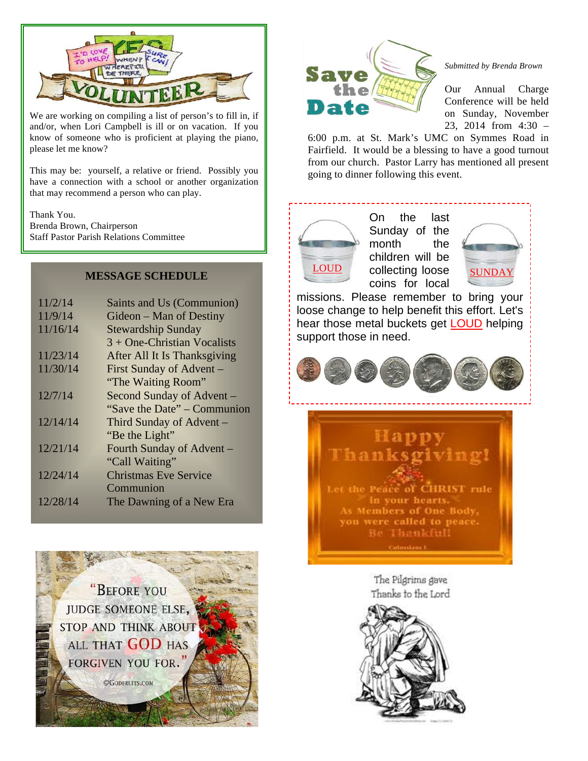

We are working on compiling a list of person's to fill in, if and/or, when Lori Campbell is ill or on vacation. If you know of someone who is proficient at playing the piano, please let me know?

This may be: yourself, a relative or friend. Possibly you have a connection with a school or another organization that may recommend a person who can play.

Thank You. Brenda Brown, Chairperson Staff Pastor Parish Relations Committee

| 11/2/14  | Saints and Us (Communion)     |
|----------|-------------------------------|
| 11/9/14  | Gideon – Man of Destiny       |
| 11/16/14 | <b>Stewardship Sunday</b>     |
|          | $3 +$ One-Christian Vocalists |
| 11/23/14 | After All It Is Thanksgiving  |
| 11/30/14 | First Sunday of Advent –      |
|          | "The Waiting Room"            |
| 12/7/14  | Second Sunday of Advent -     |
|          | "Save the Date" – Communion"  |
| 12/14/14 | Third Sunday of Advent –      |
|          | "Be the Light"                |
| 12/21/14 | Fourth Sunday of Advent -     |
|          | "Call Waiting"                |
| 12/24/14 | <b>Christmas Eve Service</b>  |
|          | Communion                     |
| 12/28/14 | The Dawning of a New Era      |
|          |                               |

"BEFORE YOU **JUDGE SOMEONE ELSE, STOP AND THINK ABOUT** ALL THAT GOD HAS **FORGIVEN YOU FOR.** 

**©GODFRUITS.COM** 



#### *Submitted by Brenda Brown*

Our Annual Charge Conference will be held on Sunday, November 23, 2014 from 4:30 –

6:00 p.m. at St. Mark's UMC on Symmes Road in Fairfield. It would be a blessing to have a good turnout from our church. Pastor Larry has mentioned all present going to dinner following this event.

On the last Sunday of the month the children will be collecting loose coins for local **MESSAGE SCHEDULE LOUD** collecting loose **SUNDAY** 



missions. Please remember to bring your loose change to help benefit this effort. Let's hear those metal buckets get LOUD helping support those in need.





The Pilgrims gave Thanks to the Lord